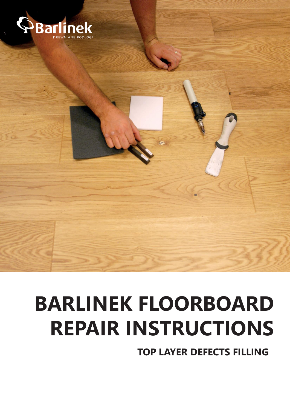

# **BARLINEK FLOORBOARD REPAIR INSTRUCTIONS**

**TOP LAYER DEFECTS FILLING**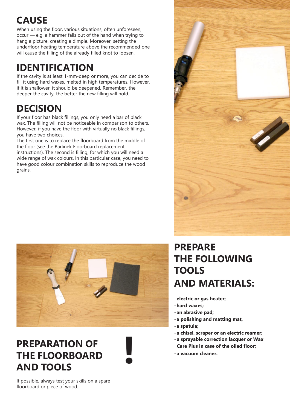## **CAUSE**

When using the floor, various situations, often unforeseen, occur — e.g. a hammer falls out of the hand when trying to hang a picture, creating a dimple. Moreover, setting the underfloor heating temperature above the recommended one will cause the filling of the already filled knot to loosen.

#### **IDENTIFICATION**

If the cavity is at least 1-mm-deep or more, you can decide to fill it using hard waxes, melted in high temperatures. However, if it is shallower, it should be deepened. Remember, the deeper the cavity, the better the new filling will hold.

### **DECISION**

If your floor has black fillings, you only need a bar of black wax. The filling will not be noticeable in comparison to others. However, if you have the floor with virtually no black fillings, you have two choices.

The first one is to replace the floorboard from the middle of the floor (see the Barlinek Floorboard replacement instructions). The second is filling, for which you will need a wide range of wax colours. In this particular case, you need to have good colour combination skills to reproduce the wood grains.





#### **PREPARATION OF THE FLOORBOARD AND TOOLS**



#### **PREPARE THE FOLLOWING TOOLS AND MATERIALS:**

-**electric or gas heater;**

- -**hard waxes;**
- -**an abrasive pad;**
- -**a polishing and matting mat,**
- -**a spatula;**
- -**a chisel, scraper or an electric reamer;**
- **a sprayable correction lacquer or Wax Care Plus in case of the oiled floor;**
- -**a vacuum cleaner.**

If possible, always test your skills on a spare floorboard or piece of wood.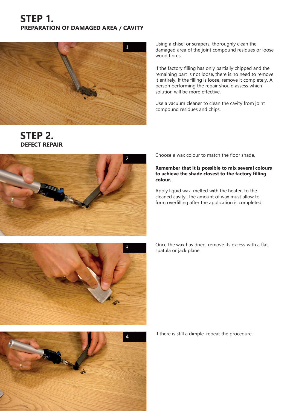#### **STEP 1. PREPARATION OF DAMAGED AREA / CAVITY**



**STEP 2.**

**DEFECT REPAIR**

Using a chisel or scrapers, thoroughly clean the damaged area of the joint compound residues or loose wood fibres.

If the factory filling has only partially chipped and the remaining part is not loose, there is no need to remove it entirely. If the filling is loose, remove it completely. A person performing the repair should assess which solution will be more effective.

Use a vacuum cleaner to clean the cavity from joint compound residues and chips.



Choose a wax colour to match the floor shade.

#### **Remember that it is possible to mix several colours to achieve the shade closest to the factory filling colour.**

Apply liquid wax, melted with the heater, to the cleaned cavity. The amount of wax must allow to form overfilling after the application is completed.

Once the wax has dried, remove its excess with a flat spatula or jack plane.





If there is still a dimple, repeat the procedure.